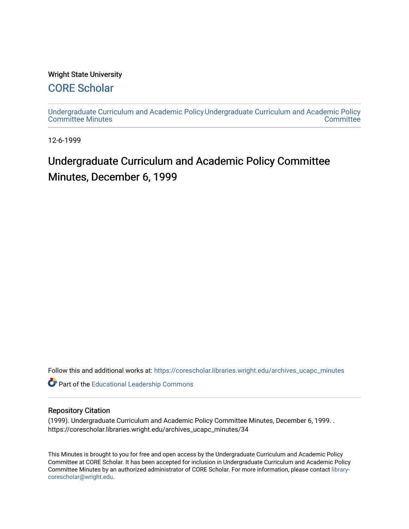### Wright State University

### [CORE Scholar](https://corescholar.libraries.wright.edu/)

[Undergraduate Curriculum and Academic Policy](https://corescholar.libraries.wright.edu/archives_ucapc_minutes) [Undergraduate Curriculum and Academic Policy](https://corescholar.libraries.wright.edu/archives_ucapc)  [Committee Minutes](https://corescholar.libraries.wright.edu/archives_ucapc_minutes) **Committee** 

12-6-1999

## Undergraduate Curriculum and Academic Policy Committee Minutes, December 6, 1999

Follow this and additional works at: [https://corescholar.libraries.wright.edu/archives\\_ucapc\\_minutes](https://corescholar.libraries.wright.edu/archives_ucapc_minutes?utm_source=corescholar.libraries.wright.edu%2Farchives_ucapc_minutes%2F34&utm_medium=PDF&utm_campaign=PDFCoverPages) 

Part of the [Educational Leadership Commons](http://network.bepress.com/hgg/discipline/1230?utm_source=corescholar.libraries.wright.edu%2Farchives_ucapc_minutes%2F34&utm_medium=PDF&utm_campaign=PDFCoverPages) 

### Repository Citation

(1999). Undergraduate Curriculum and Academic Policy Committee Minutes, December 6, 1999. . https://corescholar.libraries.wright.edu/archives\_ucapc\_minutes/34

This Minutes is brought to you for free and open access by the Undergraduate Curriculum and Academic Policy Committee at CORE Scholar. It has been accepted for inclusion in Undergraduate Curriculum and Academic Policy Committee Minutes by an authorized administrator of CORE Scholar. For more information, please contact [library](mailto:library-corescholar@wright.edu)[corescholar@wright.edu](mailto:library-corescholar@wright.edu).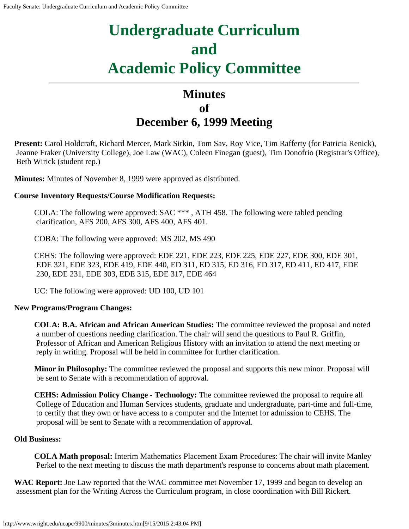# **Undergraduate Curriculum and Academic Policy Committee**

## **Minutes of December 6, 1999 Meeting**

**Present:** Carol Holdcraft, Richard Mercer, Mark Sirkin, Tom Sav, Roy Vice, Tim Rafferty (for Patricia Renick), Jeanne Fraker (University College), Joe Law (WAC), Coleen Finegan (guest), Tim Donofrio (Registrar's Office), Beth Wirick (student rep.)

**Minutes:** Minutes of November 8, 1999 were approved as distributed.

### **Course Inventory Requests/Course Modification Requests:**

COLA: The following were approved: SAC \*\*\* , ATH 458. The following were tabled pending clarification, AFS 200, AFS 300, AFS 400, AFS 401.

COBA: The following were approved: MS 202, MS 490

CEHS: The following were approved: EDE 221, EDE 223, EDE 225, EDE 227, EDE 300, EDE 301, EDE 321, EDE 323, EDE 419, EDE 440, ED 311, ED 315, ED 316, ED 317, ED 411, ED 417, EDE 230, EDE 231, EDE 303, EDE 315, EDE 317, EDE 464

UC: The following were approved: UD 100, UD 101

### **New Programs/Program Changes:**

**COLA: B.A. African and African American Studies:** The committee reviewed the proposal and noted a number of questions needing clarification. The chair will send the questions to Paul R. Griffin, Professor of African and American Religious History with an invitation to attend the next meeting or reply in writing. Proposal will be held in committee for further clarification.

**Minor in Philosophy:** The committee reviewed the proposal and supports this new minor. Proposal will be sent to Senate with a recommendation of approval.

**CEHS: Admission Policy Change - Technology:** The committee reviewed the proposal to require all College of Education and Human Services students, graduate and undergraduate, part-time and full-time, to certify that they own or have access to a computer and the Internet for admission to CEHS. The proposal will be sent to Senate with a recommendation of approval.

### **Old Business:**

**COLA Math proposal:** Interim Mathematics Placement Exam Procedures: The chair will invite Manley Perkel to the next meeting to discuss the math department's response to concerns about math placement.

**WAC Report:** Joe Law reported that the WAC committee met November 17, 1999 and began to develop an assessment plan for the Writing Across the Curriculum program, in close coordination with Bill Rickert.